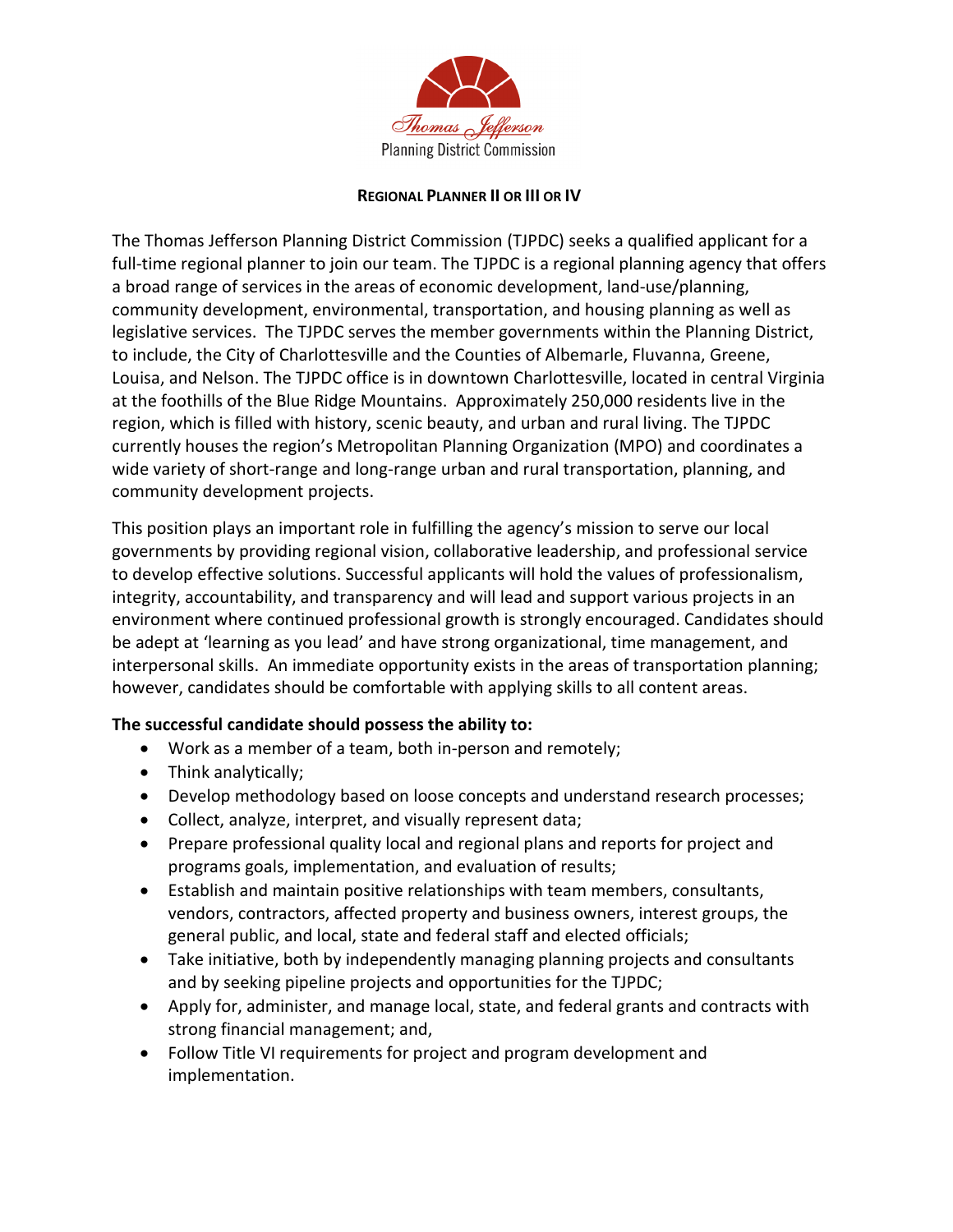

## **REGIONAL PLANNER II OR III OR IV**

The Thomas Jefferson Planning District Commission (TJPDC) seeks a qualified applicant for a full-time regional planner to join our team. The TJPDC is a regional planning agency that offers a broad range of services in the areas of economic development, land-use/planning, community development, environmental, transportation, and housing planning as well as legislative services. The TJPDC serves the member governments within the Planning District, to include, the City of Charlottesville and the Counties of Albemarle, Fluvanna, Greene, Louisa, and Nelson. The TJPDC office is in downtown Charlottesville, located in central Virginia at the foothills of the Blue Ridge Mountains. Approximately 250,000 residents live in the region, which is filled with history, scenic beauty, and urban and rural living. The TJPDC currently houses the region's Metropolitan Planning Organization (MPO) and coordinates a wide variety of short-range and long-range urban and rural transportation, planning, and community development projects.

This position plays an important role in fulfilling the agency's mission to serve our local governments by providing regional vision, collaborative leadership, and professional service to develop effective solutions. Successful applicants will hold the values of professionalism, integrity, accountability, and transparency and will lead and support various projects in an environment where continued professional growth is strongly encouraged. Candidates should be adept at 'learning as you lead' and have strong organizational, time management, and interpersonal skills. An immediate opportunity exists in the areas of transportation planning; however, candidates should be comfortable with applying skills to all content areas.

## **The successful candidate should possess the ability to:**

- Work as a member of a team, both in-person and remotely;
- Think analytically;
- Develop methodology based on loose concepts and understand research processes;
- Collect, analyze, interpret, and visually represent data;
- Prepare professional quality local and regional plans and reports for project and programs goals, implementation, and evaluation of results;
- Establish and maintain positive relationships with team members, consultants, vendors, contractors, affected property and business owners, interest groups, the general public, and local, state and federal staff and elected officials;
- Take initiative, both by independently managing planning projects and consultants and by seeking pipeline projects and opportunities for the TJPDC;
- Apply for, administer, and manage local, state, and federal grants and contracts with strong financial management; and,
- Follow Title VI requirements for project and program development and implementation.